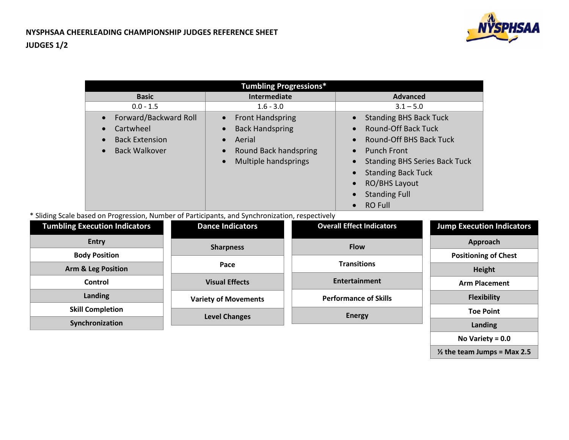

**½ the team Jumps = Max 2.5**

| <b>Tumbling Progressions*</b> |                                      |                                                   |  |  |  |
|-------------------------------|--------------------------------------|---------------------------------------------------|--|--|--|
| <b>Basic</b>                  | Intermediate                         | <b>Advanced</b>                                   |  |  |  |
| $0.0 - 1.5$                   | $1.6 - 3.0$                          | $3.1 - 5.0$                                       |  |  |  |
| Forward/Backward Roll         | <b>Front Handspring</b><br>$\bullet$ | <b>Standing BHS Back Tuck</b><br>$\bullet$        |  |  |  |
| Cartwheel                     | <b>Back Handspring</b>               | <b>Round-Off Back Tuck</b><br>$\bullet$           |  |  |  |
| <b>Back Extension</b>         | Aerial                               | <b>Round-Off BHS Back Tuck</b><br>$\bullet$       |  |  |  |
| <b>Back Walkover</b>          | Round Back handspring                | <b>Punch Front</b><br>$\bullet$                   |  |  |  |
|                               | Multiple handsprings<br>$\bullet$    | <b>Standing BHS Series Back Tuck</b><br>$\bullet$ |  |  |  |
|                               |                                      | <b>Standing Back Tuck</b><br>$\bullet$            |  |  |  |
|                               |                                      | <b>RO/BHS Layout</b><br>$\bullet$                 |  |  |  |
|                               |                                      | <b>Standing Full</b><br>$\bullet$                 |  |  |  |
|                               |                                      | <b>RO Full</b><br>$\bullet$                       |  |  |  |

\* Sliding Scale based on Progression, Number of Participants, and Synchronization, respectively

| <b>Tumbling Execution Indicators</b> | <b>Dance Indicators</b>     | <b>Overall Effect Indicators</b> | <b>Jump Execution Indicators</b> |  |
|--------------------------------------|-----------------------------|----------------------------------|----------------------------------|--|
| <b>Entry</b>                         | <b>Sharpness</b>            | <b>Flow</b>                      | Approach                         |  |
| <b>Body Position</b>                 |                             |                                  | <b>Positioning of Chest</b>      |  |
| <b>Arm &amp; Leg Position</b>        | Pace                        | <b>Transitions</b>               | Height                           |  |
| Control                              | <b>Visual Effects</b>       | <b>Entertainment</b>             | <b>Arm Placement</b>             |  |
| Landing                              | <b>Variety of Movements</b> | <b>Performance of Skills</b>     | <b>Flexibility</b>               |  |
| <b>Skill Completion</b>              | <b>Level Changes</b>        | <b>Energy</b>                    | <b>Toe Point</b>                 |  |
| Synchronization                      |                             |                                  | Landing                          |  |
|                                      |                             |                                  | No Variety = $0.0$               |  |